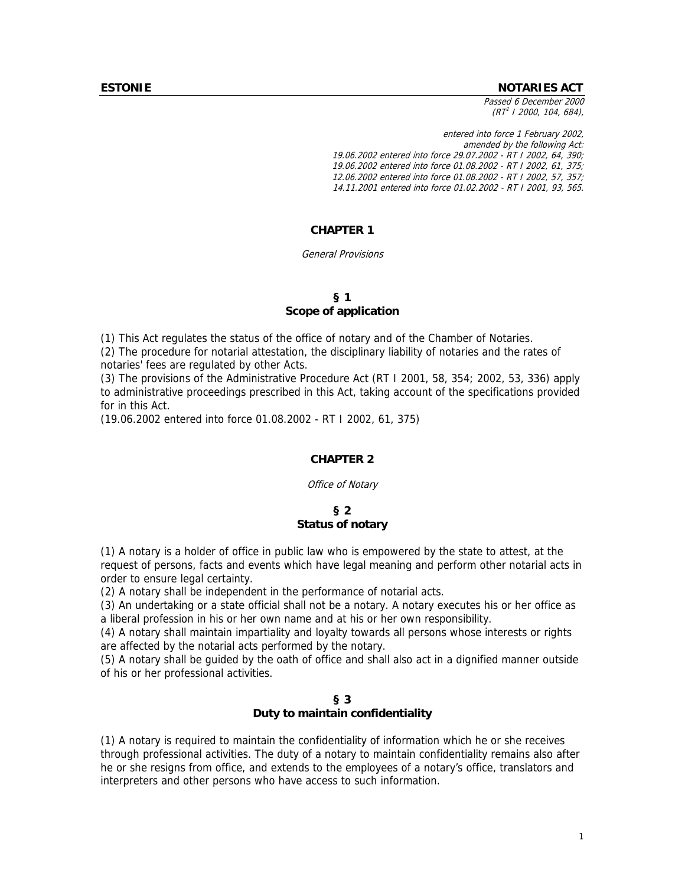#### **ESTONIE NOTARIES ACT**

Passed 6 December 2000  $(RT<sup>1</sup>$  I 2000, 104, 684),

entered into force 1 February 2002, amended by the following Act: 19.06.2002 entered into force 29.07.2002 - RT I 2002, 64, 390; 19.06.2002 entered into force 01.08.2002 - RT I 2002, 61, 375; 12.06.2002 entered into force 01.08.2002 - RT I 2002, 57, 357; 14.11.2001 entered into force 01.02.2002 - RT I 2001, 93, 565.

# **CHAPTER 1**

#### General Provisions

## **§ 1 Scope of application**

(1) This Act regulates the status of the office of notary and of the Chamber of Notaries.

(2) The procedure for notarial attestation, the disciplinary liability of notaries and the rates of notaries' fees are regulated by other Acts.

(3) The provisions of the Administrative Procedure Act (RT I 2001, 58, 354; 2002, 53, 336) apply to administrative proceedings prescribed in this Act, taking account of the specifications provided for in this Act.

(19.06.2002 entered into force 01.08.2002 - RT I 2002, 61, 375)

### **CHAPTER 2**

Office of Notary

### **§ 2 Status of notary**

(1) A notary is a holder of office in public law who is empowered by the state to attest, at the request of persons, facts and events which have legal meaning and perform other notarial acts in order to ensure legal certainty.

(2) A notary shall be independent in the performance of notarial acts.

(3) An undertaking or a state official shall not be a notary. A notary executes his or her office as a liberal profession in his or her own name and at his or her own responsibility.

(4) A notary shall maintain impartiality and loyalty towards all persons whose interests or rights are affected by the notarial acts performed by the notary.

(5) A notary shall be guided by the oath of office and shall also act in a dignified manner outside of his or her professional activities.

### **§ 3 Duty to maintain confidentiality**

(1) A notary is required to maintain the confidentiality of information which he or she receives through professional activities. The duty of a notary to maintain confidentiality remains also after he or she resigns from office, and extends to the employees of a notary's office, translators and interpreters and other persons who have access to such information.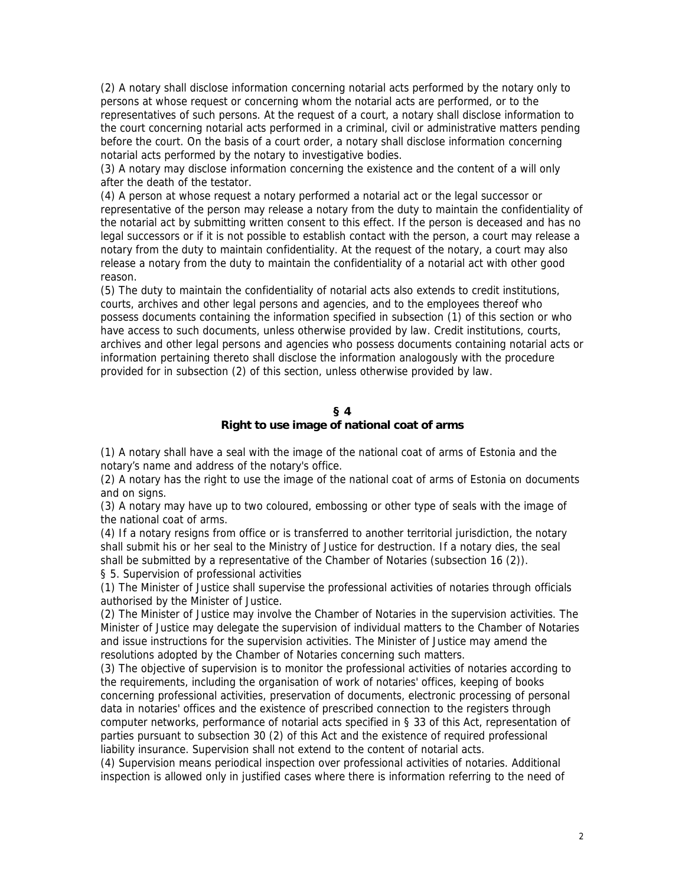(2) A notary shall disclose information concerning notarial acts performed by the notary only to persons at whose request or concerning whom the notarial acts are performed, or to the representatives of such persons. At the request of a court, a notary shall disclose information to the court concerning notarial acts performed in a criminal, civil or administrative matters pending before the court. On the basis of a court order, a notary shall disclose information concerning notarial acts performed by the notary to investigative bodies.

(3) A notary may disclose information concerning the existence and the content of a will only after the death of the testator.

(4) A person at whose request a notary performed a notarial act or the legal successor or representative of the person may release a notary from the duty to maintain the confidentiality of the notarial act by submitting written consent to this effect. If the person is deceased and has no legal successors or if it is not possible to establish contact with the person, a court may release a notary from the duty to maintain confidentiality. At the request of the notary, a court may also release a notary from the duty to maintain the confidentiality of a notarial act with other good reason.

(5) The duty to maintain the confidentiality of notarial acts also extends to credit institutions, courts, archives and other legal persons and agencies, and to the employees thereof who possess documents containing the information specified in subsection (1) of this section or who have access to such documents, unless otherwise provided by law. Credit institutions, courts, archives and other legal persons and agencies who possess documents containing notarial acts or information pertaining thereto shall disclose the information analogously with the procedure provided for in subsection (2) of this section, unless otherwise provided by law.

#### **§ 4**

# **Right to use image of national coat of arms**

(1) A notary shall have a seal with the image of the national coat of arms of Estonia and the notary's name and address of the notary's office.

(2) A notary has the right to use the image of the national coat of arms of Estonia on documents and on signs.

(3) A notary may have up to two coloured, embossing or other type of seals with the image of the national coat of arms.

(4) If a notary resigns from office or is transferred to another territorial jurisdiction, the notary shall submit his or her seal to the Ministry of Justice for destruction. If a notary dies, the seal shall be submitted by a representative of the Chamber of Notaries (subsection 16 (2)). § 5. Supervision of professional activities

(1) The Minister of Justice shall supervise the professional activities of notaries through officials authorised by the Minister of Justice.

(2) The Minister of Justice may involve the Chamber of Notaries in the supervision activities. The Minister of Justice may delegate the supervision of individual matters to the Chamber of Notaries and issue instructions for the supervision activities. The Minister of Justice may amend the resolutions adopted by the Chamber of Notaries concerning such matters.

(3) The objective of supervision is to monitor the professional activities of notaries according to the requirements, including the organisation of work of notaries' offices, keeping of books concerning professional activities, preservation of documents, electronic processing of personal data in notaries' offices and the existence of prescribed connection to the registers through computer networks, performance of notarial acts specified in § 33 of this Act, representation of parties pursuant to subsection 30 (2) of this Act and the existence of required professional liability insurance. Supervision shall not extend to the content of notarial acts.

(4) Supervision means periodical inspection over professional activities of notaries. Additional inspection is allowed only in justified cases where there is information referring to the need of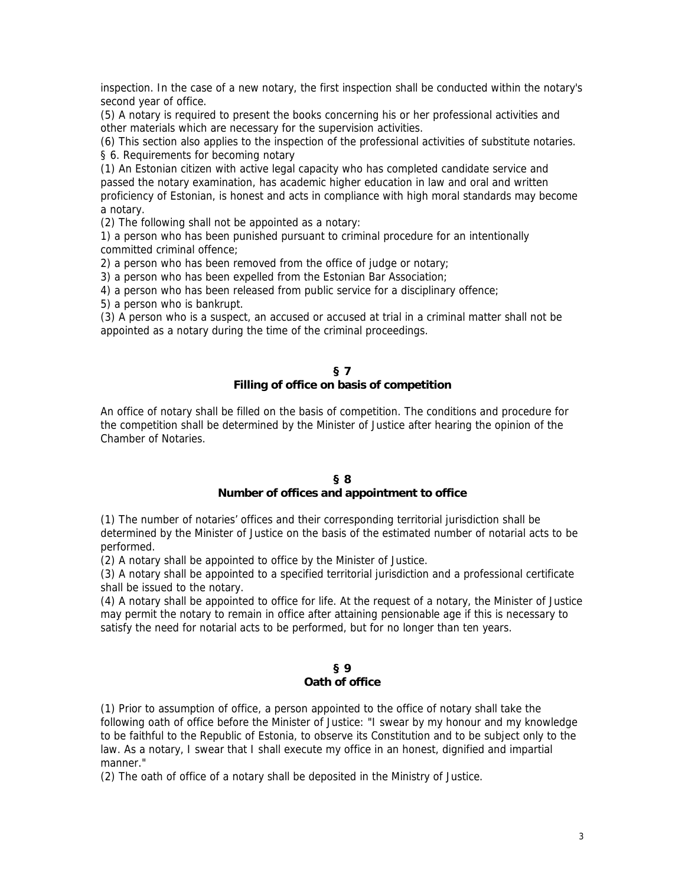inspection. In the case of a new notary, the first inspection shall be conducted within the notary's second year of office.

(5) A notary is required to present the books concerning his or her professional activities and other materials which are necessary for the supervision activities.

(6) This section also applies to the inspection of the professional activities of substitute notaries. § 6. Requirements for becoming notary

(1) An Estonian citizen with active legal capacity who has completed candidate service and passed the notary examination, has academic higher education in law and oral and written proficiency of Estonian, is honest and acts in compliance with high moral standards may become a notary.

(2) The following shall not be appointed as a notary:

1) a person who has been punished pursuant to criminal procedure for an intentionally committed criminal offence;

2) a person who has been removed from the office of judge or notary;

3) a person who has been expelled from the Estonian Bar Association;

4) a person who has been released from public service for a disciplinary offence;

5) a person who is bankrupt.

(3) A person who is a suspect, an accused or accused at trial in a criminal matter shall not be appointed as a notary during the time of the criminal proceedings.

### **§ 7 Filling of office on basis of competition**

An office of notary shall be filled on the basis of competition. The conditions and procedure for the competition shall be determined by the Minister of Justice after hearing the opinion of the Chamber of Notaries.

### **§ 8**

# **Number of offices and appointment to office**

(1) The number of notaries' offices and their corresponding territorial jurisdiction shall be determined by the Minister of Justice on the basis of the estimated number of notarial acts to be performed.

(2) A notary shall be appointed to office by the Minister of Justice.

(3) A notary shall be appointed to a specified territorial jurisdiction and a professional certificate shall be issued to the notary.

(4) A notary shall be appointed to office for life. At the request of a notary, the Minister of Justice may permit the notary to remain in office after attaining pensionable age if this is necessary to satisfy the need for notarial acts to be performed, but for no longer than ten years.

## **§ 9 Oath of office**

(1) Prior to assumption of office, a person appointed to the office of notary shall take the following oath of office before the Minister of Justice: "I swear by my honour and my knowledge to be faithful to the Republic of Estonia, to observe its Constitution and to be subject only to the law. As a notary, I swear that I shall execute my office in an honest, dignified and impartial manner."

(2) The oath of office of a notary shall be deposited in the Ministry of Justice.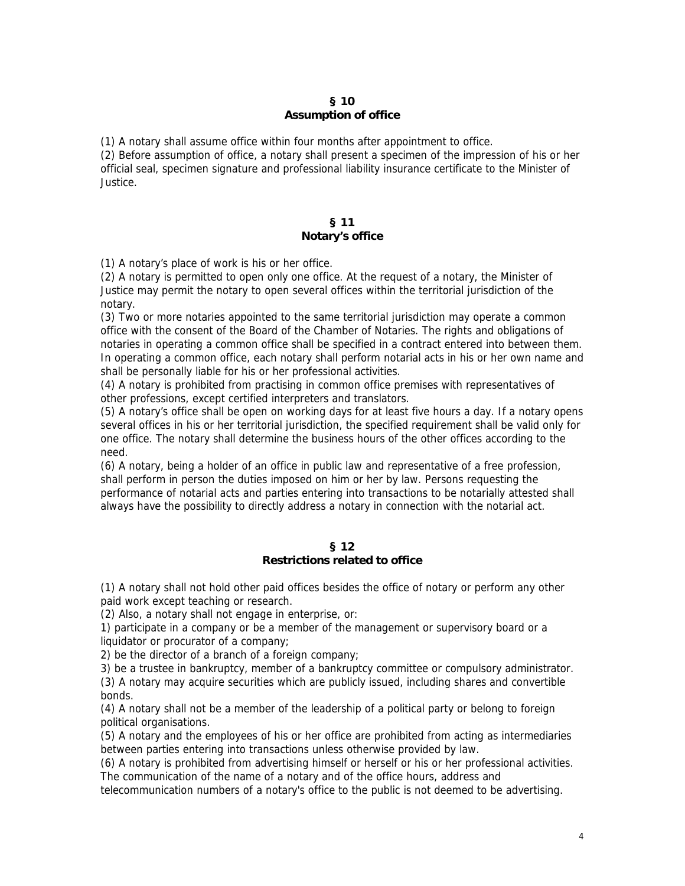# **§ 10 Assumption of office**

(1) A notary shall assume office within four months after appointment to office.

(2) Before assumption of office, a notary shall present a specimen of the impression of his or her official seal, specimen signature and professional liability insurance certificate to the Minister of Justice.

### **§ 11 Notary's office**

(1) A notary's place of work is his or her office.

(2) A notary is permitted to open only one office. At the request of a notary, the Minister of Justice may permit the notary to open several offices within the territorial jurisdiction of the notary.

(3) Two or more notaries appointed to the same territorial jurisdiction may operate a common office with the consent of the Board of the Chamber of Notaries. The rights and obligations of notaries in operating a common office shall be specified in a contract entered into between them. In operating a common office, each notary shall perform notarial acts in his or her own name and shall be personally liable for his or her professional activities.

(4) A notary is prohibited from practising in common office premises with representatives of other professions, except certified interpreters and translators.

(5) A notary's office shall be open on working days for at least five hours a day. If a notary opens several offices in his or her territorial jurisdiction, the specified requirement shall be valid only for one office. The notary shall determine the business hours of the other offices according to the need.

(6) A notary, being a holder of an office in public law and representative of a free profession, shall perform in person the duties imposed on him or her by law. Persons requesting the performance of notarial acts and parties entering into transactions to be notarially attested shall always have the possibility to directly address a notary in connection with the notarial act.

#### **§ 12 Restrictions related to office**

(1) A notary shall not hold other paid offices besides the office of notary or perform any other paid work except teaching or research.

(2) Also, a notary shall not engage in enterprise, or:

1) participate in a company or be a member of the management or supervisory board or a liquidator or procurator of a company;

2) be the director of a branch of a foreign company;

3) be a trustee in bankruptcy, member of a bankruptcy committee or compulsory administrator. (3) A notary may acquire securities which are publicly issued, including shares and convertible bonds.

(4) A notary shall not be a member of the leadership of a political party or belong to foreign political organisations.

(5) A notary and the employees of his or her office are prohibited from acting as intermediaries between parties entering into transactions unless otherwise provided by law.

(6) A notary is prohibited from advertising himself or herself or his or her professional activities. The communication of the name of a notary and of the office hours, address and

telecommunication numbers of a notary's office to the public is not deemed to be advertising.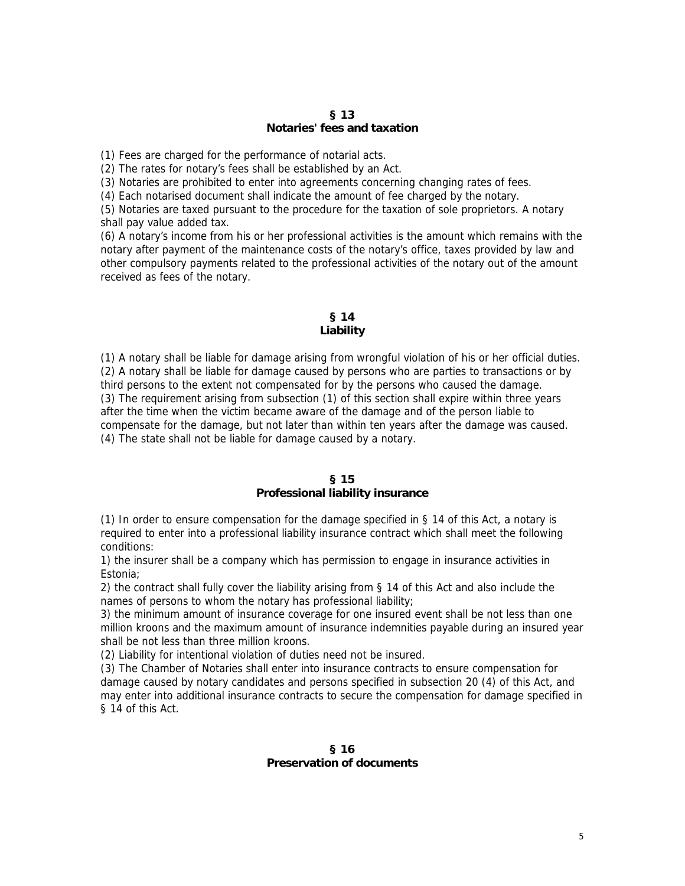### **§ 13 Notaries' fees and taxation**

(1) Fees are charged for the performance of notarial acts.

(2) The rates for notary's fees shall be established by an Act.

(3) Notaries are prohibited to enter into agreements concerning changing rates of fees.

(4) Each notarised document shall indicate the amount of fee charged by the notary.

(5) Notaries are taxed pursuant to the procedure for the taxation of sole proprietors. A notary shall pay value added tax.

(6) A notary's income from his or her professional activities is the amount which remains with the notary after payment of the maintenance costs of the notary's office, taxes provided by law and other compulsory payments related to the professional activities of the notary out of the amount received as fees of the notary.

### **§ 14 Liability**

(1) A notary shall be liable for damage arising from wrongful violation of his or her official duties. (2) A notary shall be liable for damage caused by persons who are parties to transactions or by third persons to the extent not compensated for by the persons who caused the damage. (3) The requirement arising from subsection (1) of this section shall expire within three years after the time when the victim became aware of the damage and of the person liable to compensate for the damage, but not later than within ten years after the damage was caused. (4) The state shall not be liable for damage caused by a notary.

### **§ 15**

### **Professional liability insurance**

(1) In order to ensure compensation for the damage specified in § 14 of this Act, a notary is required to enter into a professional liability insurance contract which shall meet the following conditions:

1) the insurer shall be a company which has permission to engage in insurance activities in Estonia;

2) the contract shall fully cover the liability arising from § 14 of this Act and also include the names of persons to whom the notary has professional liability;

3) the minimum amount of insurance coverage for one insured event shall be not less than one million kroons and the maximum amount of insurance indemnities payable during an insured year shall be not less than three million kroons.

(2) Liability for intentional violation of duties need not be insured.

(3) The Chamber of Notaries shall enter into insurance contracts to ensure compensation for damage caused by notary candidates and persons specified in subsection 20 (4) of this Act, and may enter into additional insurance contracts to secure the compensation for damage specified in § 14 of this Act.

## **§ 16 Preservation of documents**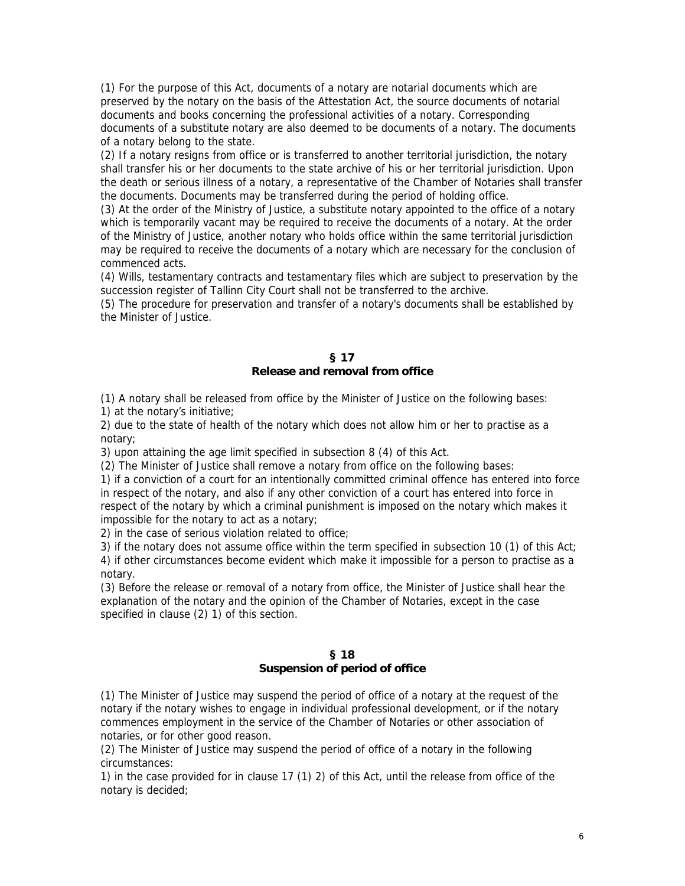(1) For the purpose of this Act, documents of a notary are notarial documents which are preserved by the notary on the basis of the Attestation Act, the source documents of notarial documents and books concerning the professional activities of a notary. Corresponding documents of a substitute notary are also deemed to be documents of a notary. The documents of a notary belong to the state.

(2) If a notary resigns from office or is transferred to another territorial jurisdiction, the notary shall transfer his or her documents to the state archive of his or her territorial jurisdiction. Upon the death or serious illness of a notary, a representative of the Chamber of Notaries shall transfer the documents. Documents may be transferred during the period of holding office.

(3) At the order of the Ministry of Justice, a substitute notary appointed to the office of a notary which is temporarily vacant may be required to receive the documents of a notary. At the order of the Ministry of Justice, another notary who holds office within the same territorial jurisdiction may be required to receive the documents of a notary which are necessary for the conclusion of commenced acts.

(4) Wills, testamentary contracts and testamentary files which are subject to preservation by the succession register of Tallinn City Court shall not be transferred to the archive.

(5) The procedure for preservation and transfer of a notary's documents shall be established by the Minister of Justice.

#### **§ 17 Release and removal from office**

(1) A notary shall be released from office by the Minister of Justice on the following bases: 1) at the notary's initiative;

2) due to the state of health of the notary which does not allow him or her to practise as a notary;

3) upon attaining the age limit specified in subsection 8 (4) of this Act.

(2) The Minister of Justice shall remove a notary from office on the following bases:

1) if a conviction of a court for an intentionally committed criminal offence has entered into force in respect of the notary, and also if any other conviction of a court has entered into force in respect of the notary by which a criminal punishment is imposed on the notary which makes it impossible for the notary to act as a notary;

2) in the case of serious violation related to office;

3) if the notary does not assume office within the term specified in subsection 10 (1) of this Act; 4) if other circumstances become evident which make it impossible for a person to practise as a notary.

(3) Before the release or removal of a notary from office, the Minister of Justice shall hear the explanation of the notary and the opinion of the Chamber of Notaries, except in the case specified in clause (2) 1) of this section.

## **§ 18 Suspension of period of office**

(1) The Minister of Justice may suspend the period of office of a notary at the request of the notary if the notary wishes to engage in individual professional development, or if the notary commences employment in the service of the Chamber of Notaries or other association of notaries, or for other good reason.

(2) The Minister of Justice may suspend the period of office of a notary in the following circumstances:

1) in the case provided for in clause 17 (1) 2) of this Act, until the release from office of the notary is decided;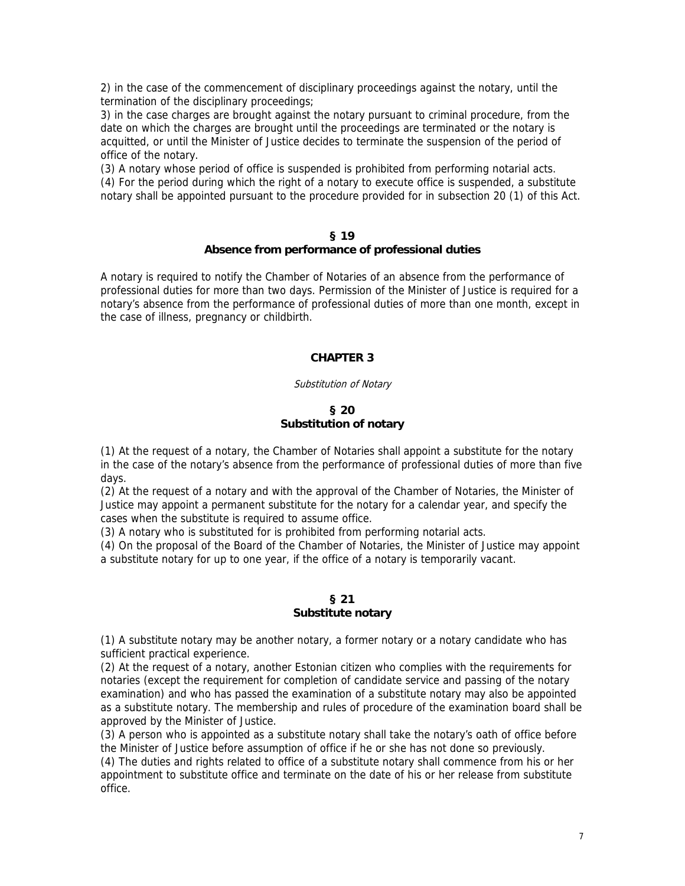2) in the case of the commencement of disciplinary proceedings against the notary, until the termination of the disciplinary proceedings;

3) in the case charges are brought against the notary pursuant to criminal procedure, from the date on which the charges are brought until the proceedings are terminated or the notary is acquitted, or until the Minister of Justice decides to terminate the suspension of the period of office of the notary.

(3) A notary whose period of office is suspended is prohibited from performing notarial acts. (4) For the period during which the right of a notary to execute office is suspended, a substitute notary shall be appointed pursuant to the procedure provided for in subsection 20 (1) of this Act.

#### **§ 19**

# **Absence from performance of professional duties**

A notary is required to notify the Chamber of Notaries of an absence from the performance of professional duties for more than two days. Permission of the Minister of Justice is required for a notary's absence from the performance of professional duties of more than one month, except in the case of illness, pregnancy or childbirth.

# **CHAPTER 3**

### Substitution of Notary

# **§ 20 Substitution of notary**

(1) At the request of a notary, the Chamber of Notaries shall appoint a substitute for the notary in the case of the notary's absence from the performance of professional duties of more than five days.

(2) At the request of a notary and with the approval of the Chamber of Notaries, the Minister of Justice may appoint a permanent substitute for the notary for a calendar year, and specify the cases when the substitute is required to assume office.

(3) A notary who is substituted for is prohibited from performing notarial acts.

(4) On the proposal of the Board of the Chamber of Notaries, the Minister of Justice may appoint a substitute notary for up to one year, if the office of a notary is temporarily vacant.

# **§ 21 Substitute notary**

(1) A substitute notary may be another notary, a former notary or a notary candidate who has sufficient practical experience.

(2) At the request of a notary, another Estonian citizen who complies with the requirements for notaries (except the requirement for completion of candidate service and passing of the notary examination) and who has passed the examination of a substitute notary may also be appointed as a substitute notary. The membership and rules of procedure of the examination board shall be approved by the Minister of Justice.

(3) A person who is appointed as a substitute notary shall take the notary's oath of office before the Minister of Justice before assumption of office if he or she has not done so previously.

(4) The duties and rights related to office of a substitute notary shall commence from his or her appointment to substitute office and terminate on the date of his or her release from substitute office.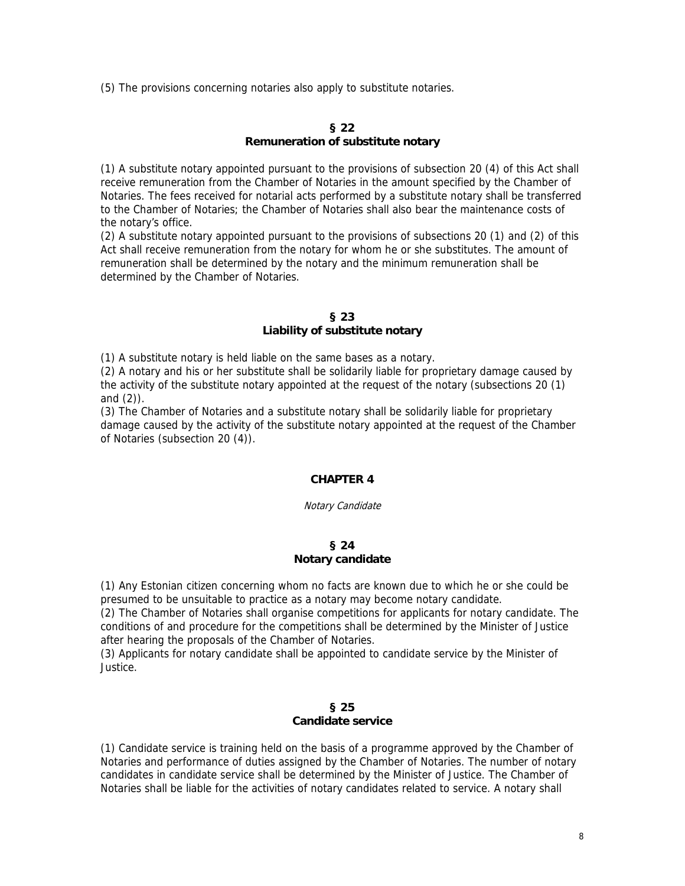(5) The provisions concerning notaries also apply to substitute notaries.

# **§ 22 Remuneration of substitute notary**

(1) A substitute notary appointed pursuant to the provisions of subsection 20 (4) of this Act shall receive remuneration from the Chamber of Notaries in the amount specified by the Chamber of Notaries. The fees received for notarial acts performed by a substitute notary shall be transferred to the Chamber of Notaries; the Chamber of Notaries shall also bear the maintenance costs of the notary's office.

(2) A substitute notary appointed pursuant to the provisions of subsections 20 (1) and (2) of this Act shall receive remuneration from the notary for whom he or she substitutes. The amount of remuneration shall be determined by the notary and the minimum remuneration shall be determined by the Chamber of Notaries.

### **§ 23 Liability of substitute notary**

(1) A substitute notary is held liable on the same bases as a notary.

(2) A notary and his or her substitute shall be solidarily liable for proprietary damage caused by the activity of the substitute notary appointed at the request of the notary (subsections 20 (1) and (2)).

(3) The Chamber of Notaries and a substitute notary shall be solidarily liable for proprietary damage caused by the activity of the substitute notary appointed at the request of the Chamber of Notaries (subsection 20 (4)).

# **CHAPTER 4**

Notary Candidate

### **§ 24 Notary candidate**

(1) Any Estonian citizen concerning whom no facts are known due to which he or she could be presumed to be unsuitable to practice as a notary may become notary candidate.

(2) The Chamber of Notaries shall organise competitions for applicants for notary candidate. The conditions of and procedure for the competitions shall be determined by the Minister of Justice after hearing the proposals of the Chamber of Notaries.

(3) Applicants for notary candidate shall be appointed to candidate service by the Minister of Justice.

### **§ 25 Candidate service**

(1) Candidate service is training held on the basis of a programme approved by the Chamber of Notaries and performance of duties assigned by the Chamber of Notaries. The number of notary candidates in candidate service shall be determined by the Minister of Justice. The Chamber of Notaries shall be liable for the activities of notary candidates related to service. A notary shall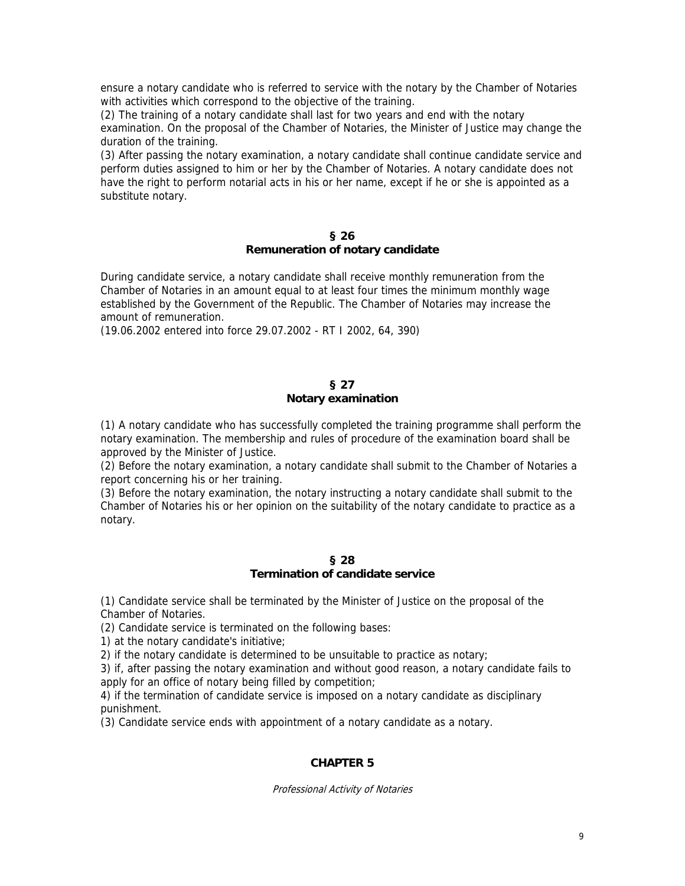ensure a notary candidate who is referred to service with the notary by the Chamber of Notaries with activities which correspond to the objective of the training.

(2) The training of a notary candidate shall last for two years and end with the notary examination. On the proposal of the Chamber of Notaries, the Minister of Justice may change the duration of the training.

(3) After passing the notary examination, a notary candidate shall continue candidate service and perform duties assigned to him or her by the Chamber of Notaries. A notary candidate does not have the right to perform notarial acts in his or her name, except if he or she is appointed as a substitute notary.

#### **§ 26**

# **Remuneration of notary candidate**

During candidate service, a notary candidate shall receive monthly remuneration from the Chamber of Notaries in an amount equal to at least four times the minimum monthly wage established by the Government of the Republic. The Chamber of Notaries may increase the amount of remuneration.

(19.06.2002 entered into force 29.07.2002 - RT I 2002, 64, 390)

# **§ 27**

# **Notary examination**

(1) A notary candidate who has successfully completed the training programme shall perform the notary examination. The membership and rules of procedure of the examination board shall be approved by the Minister of Justice.

(2) Before the notary examination, a notary candidate shall submit to the Chamber of Notaries a report concerning his or her training.

(3) Before the notary examination, the notary instructing a notary candidate shall submit to the Chamber of Notaries his or her opinion on the suitability of the notary candidate to practice as a notary.

### **§ 28 Termination of candidate service**

(1) Candidate service shall be terminated by the Minister of Justice on the proposal of the Chamber of Notaries.

(2) Candidate service is terminated on the following bases:

1) at the notary candidate's initiative;

2) if the notary candidate is determined to be unsuitable to practice as notary;

3) if, after passing the notary examination and without good reason, a notary candidate fails to apply for an office of notary being filled by competition;

4) if the termination of candidate service is imposed on a notary candidate as disciplinary punishment.

(3) Candidate service ends with appointment of a notary candidate as a notary.

# **CHAPTER 5**

Professional Activity of Notaries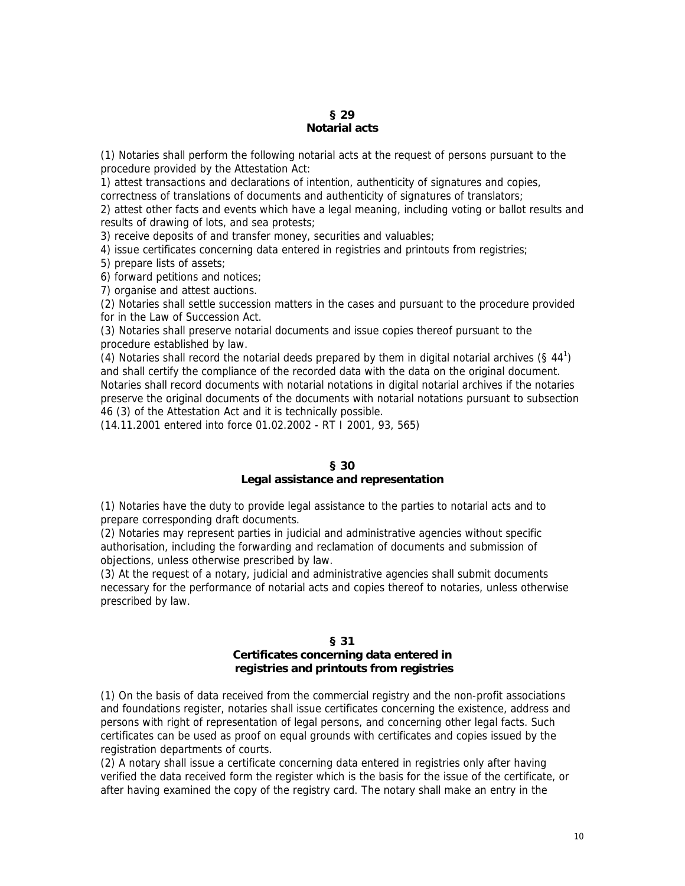# **§ 29 Notarial acts**

(1) Notaries shall perform the following notarial acts at the request of persons pursuant to the procedure provided by the Attestation Act:

1) attest transactions and declarations of intention, authenticity of signatures and copies, correctness of translations of documents and authenticity of signatures of translators;

2) attest other facts and events which have a legal meaning, including voting or ballot results and results of drawing of lots, and sea protests;

3) receive deposits of and transfer money, securities and valuables;

4) issue certificates concerning data entered in registries and printouts from registries;

5) prepare lists of assets;

6) forward petitions and notices;

7) organise and attest auctions.

(2) Notaries shall settle succession matters in the cases and pursuant to the procedure provided for in the Law of Succession Act.

(3) Notaries shall preserve notarial documents and issue copies thereof pursuant to the procedure established by law.

(4) Notaries shall record the notarial deeds prepared by them in digital notarial archives  $(§ 44^1)$ and shall certify the compliance of the recorded data with the data on the original document. Notaries shall record documents with notarial notations in digital notarial archives if the notaries preserve the original documents of the documents with notarial notations pursuant to subsection 46 (3) of the Attestation Act and it is technically possible.

(14.11.2001 entered into force 01.02.2002 - RT I 2001, 93, 565)

# **§ 30**

# **Legal assistance and representation**

(1) Notaries have the duty to provide legal assistance to the parties to notarial acts and to prepare corresponding draft documents.

(2) Notaries may represent parties in judicial and administrative agencies without specific authorisation, including the forwarding and reclamation of documents and submission of objections, unless otherwise prescribed by law.

(3) At the request of a notary, judicial and administrative agencies shall submit documents necessary for the performance of notarial acts and copies thereof to notaries, unless otherwise prescribed by law.

### **§ 31**

# **Certificates concerning data entered in registries and printouts from registries**

(1) On the basis of data received from the commercial registry and the non-profit associations and foundations register, notaries shall issue certificates concerning the existence, address and persons with right of representation of legal persons, and concerning other legal facts. Such certificates can be used as proof on equal grounds with certificates and copies issued by the registration departments of courts.

(2) A notary shall issue a certificate concerning data entered in registries only after having verified the data received form the register which is the basis for the issue of the certificate, or after having examined the copy of the registry card. The notary shall make an entry in the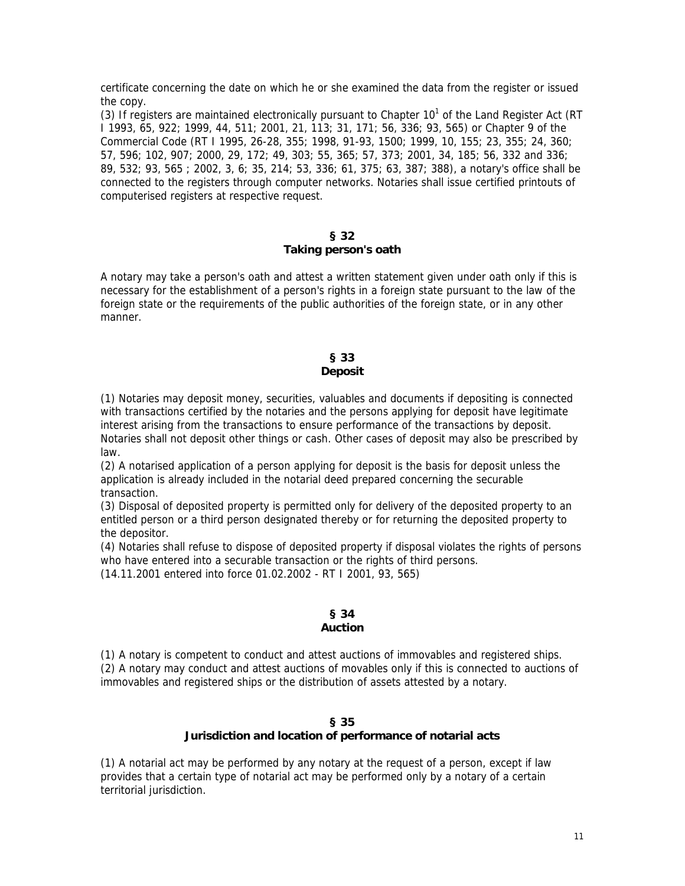certificate concerning the date on which he or she examined the data from the register or issued the copy.

(3) If registers are maintained electronically pursuant to Chapter  $10<sup>1</sup>$  of the Land Register Act (RT I 1993, 65, 922; 1999, 44, 511; 2001, 21, 113; 31, 171; 56, 336; 93, 565) or Chapter 9 of the Commercial Code (RT I 1995, 26-28, 355; 1998, 91-93, 1500; 1999, 10, 155; 23, 355; 24, 360; 57, 596; 102, 907; 2000, 29, 172; 49, 303; 55, 365; 57, 373; 2001, 34, 185; 56, 332 and 336; 89, 532; 93, 565 ; 2002, 3, 6; 35, 214; 53, 336; 61, 375; 63, 387; 388), a notary's office shall be connected to the registers through computer networks. Notaries shall issue certified printouts of computerised registers at respective request.

#### **§ 32 Taking person's oath**

A notary may take a person's oath and attest a written statement given under oath only if this is necessary for the establishment of a person's rights in a foreign state pursuant to the law of the foreign state or the requirements of the public authorities of the foreign state, or in any other manner.

## **§ 33 Deposit**

(1) Notaries may deposit money, securities, valuables and documents if depositing is connected with transactions certified by the notaries and the persons applying for deposit have legitimate interest arising from the transactions to ensure performance of the transactions by deposit. Notaries shall not deposit other things or cash. Other cases of deposit may also be prescribed by law.

(2) A notarised application of a person applying for deposit is the basis for deposit unless the application is already included in the notarial deed prepared concerning the securable transaction.

(3) Disposal of deposited property is permitted only for delivery of the deposited property to an entitled person or a third person designated thereby or for returning the deposited property to the depositor.

(4) Notaries shall refuse to dispose of deposited property if disposal violates the rights of persons who have entered into a securable transaction or the rights of third persons.

(14.11.2001 entered into force 01.02.2002 - RT I 2001, 93, 565)

## **§ 34 Auction**

(1) A notary is competent to conduct and attest auctions of immovables and registered ships. (2) A notary may conduct and attest auctions of movables only if this is connected to auctions of immovables and registered ships or the distribution of assets attested by a notary.

## **§ 35 Jurisdiction and location of performance of notarial acts**

(1) A notarial act may be performed by any notary at the request of a person, except if law provides that a certain type of notarial act may be performed only by a notary of a certain territorial jurisdiction.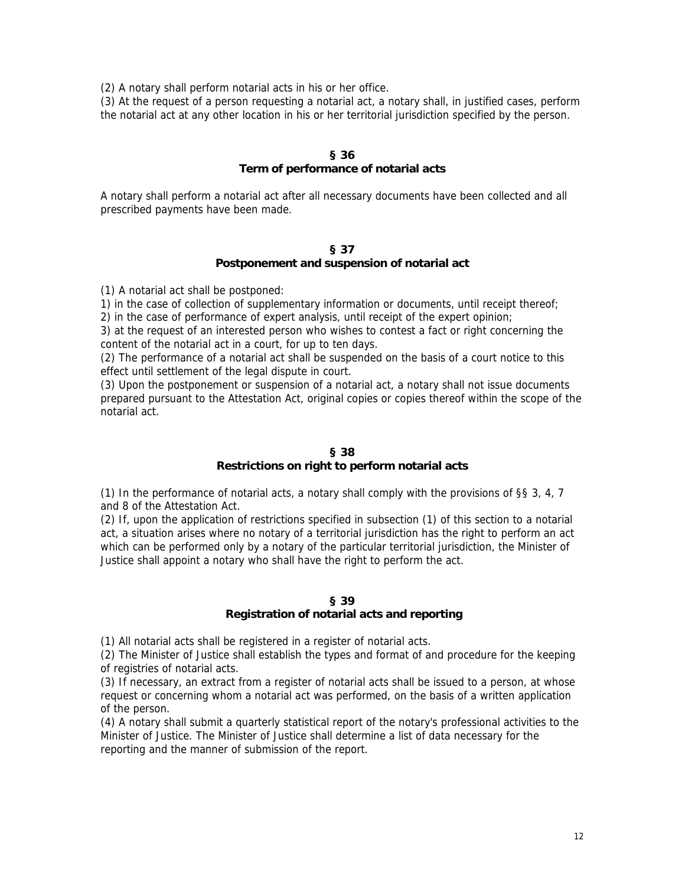(2) A notary shall perform notarial acts in his or her office.

(3) At the request of a person requesting a notarial act, a notary shall, in justified cases, perform the notarial act at any other location in his or her territorial jurisdiction specified by the person.

### **§ 36**

### **Term of performance of notarial acts**

A notary shall perform a notarial act after all necessary documents have been collected and all prescribed payments have been made.

#### **§ 37**

## **Postponement and suspension of notarial act**

(1) A notarial act shall be postponed:

1) in the case of collection of supplementary information or documents, until receipt thereof;

2) in the case of performance of expert analysis, until receipt of the expert opinion;

3) at the request of an interested person who wishes to contest a fact or right concerning the content of the notarial act in a court, for up to ten days.

(2) The performance of a notarial act shall be suspended on the basis of a court notice to this effect until settlement of the legal dispute in court.

(3) Upon the postponement or suspension of a notarial act, a notary shall not issue documents prepared pursuant to the Attestation Act, original copies or copies thereof within the scope of the notarial act.

### **§ 38**

# **Restrictions on right to perform notarial acts**

(1) In the performance of notarial acts, a notary shall comply with the provisions of §§ 3, 4, 7 and 8 of the Attestation Act.

(2) If, upon the application of restrictions specified in subsection (1) of this section to a notarial act, a situation arises where no notary of a territorial jurisdiction has the right to perform an act which can be performed only by a notary of the particular territorial jurisdiction, the Minister of Justice shall appoint a notary who shall have the right to perform the act.

# **§ 39**

# **Registration of notarial acts and reporting**

(1) All notarial acts shall be registered in a register of notarial acts.

(2) The Minister of Justice shall establish the types and format of and procedure for the keeping of registries of notarial acts.

(3) If necessary, an extract from a register of notarial acts shall be issued to a person, at whose request or concerning whom a notarial act was performed, on the basis of a written application of the person.

(4) A notary shall submit a quarterly statistical report of the notary's professional activities to the Minister of Justice. The Minister of Justice shall determine a list of data necessary for the reporting and the manner of submission of the report.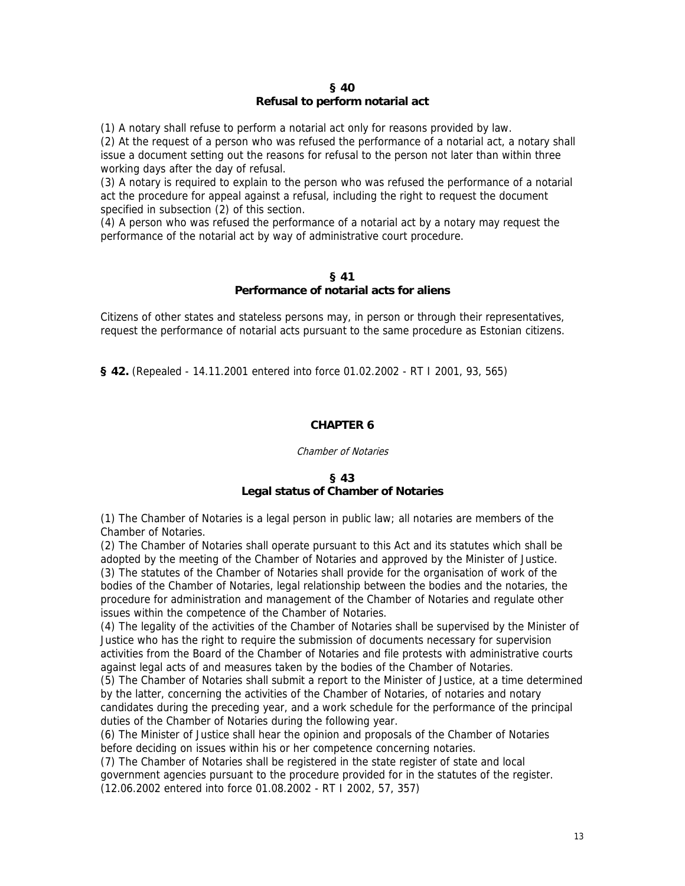#### **§ 40 Refusal to perform notarial act**

(1) A notary shall refuse to perform a notarial act only for reasons provided by law.

(2) At the request of a person who was refused the performance of a notarial act, a notary shall issue a document setting out the reasons for refusal to the person not later than within three working days after the day of refusal.

(3) A notary is required to explain to the person who was refused the performance of a notarial act the procedure for appeal against a refusal, including the right to request the document specified in subsection (2) of this section.

(4) A person who was refused the performance of a notarial act by a notary may request the performance of the notarial act by way of administrative court procedure.

### **§ 41 Performance of notarial acts for aliens**

Citizens of other states and stateless persons may, in person or through their representatives, request the performance of notarial acts pursuant to the same procedure as Estonian citizens.

**§ 42.** (Repealed - 14.11.2001 entered into force 01.02.2002 - RT I 2001, 93, 565)

# **CHAPTER 6**

#### Chamber of Notaries

# **§ 43 Legal status of Chamber of Notaries**

(1) The Chamber of Notaries is a legal person in public law; all notaries are members of the Chamber of Notaries.

(2) The Chamber of Notaries shall operate pursuant to this Act and its statutes which shall be adopted by the meeting of the Chamber of Notaries and approved by the Minister of Justice. (3) The statutes of the Chamber of Notaries shall provide for the organisation of work of the bodies of the Chamber of Notaries, legal relationship between the bodies and the notaries, the procedure for administration and management of the Chamber of Notaries and regulate other issues within the competence of the Chamber of Notaries.

(4) The legality of the activities of the Chamber of Notaries shall be supervised by the Minister of Justice who has the right to require the submission of documents necessary for supervision activities from the Board of the Chamber of Notaries and file protests with administrative courts against legal acts of and measures taken by the bodies of the Chamber of Notaries.

(5) The Chamber of Notaries shall submit a report to the Minister of Justice, at a time determined by the latter, concerning the activities of the Chamber of Notaries, of notaries and notary candidates during the preceding year, and a work schedule for the performance of the principal duties of the Chamber of Notaries during the following year.

(6) The Minister of Justice shall hear the opinion and proposals of the Chamber of Notaries before deciding on issues within his or her competence concerning notaries.

(7) The Chamber of Notaries shall be registered in the state register of state and local government agencies pursuant to the procedure provided for in the statutes of the register. (12.06.2002 entered into force 01.08.2002 - RT I 2002, 57, 357)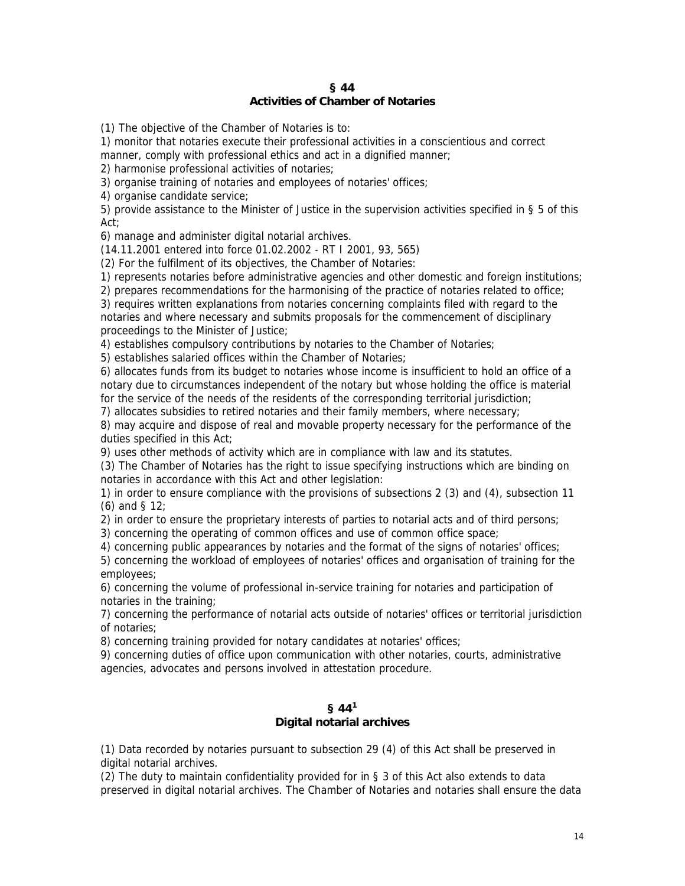## **§ 44 Activities of Chamber of Notaries**

(1) The objective of the Chamber of Notaries is to:

1) monitor that notaries execute their professional activities in a conscientious and correct manner, comply with professional ethics and act in a dignified manner;

2) harmonise professional activities of notaries;

3) organise training of notaries and employees of notaries' offices;

4) organise candidate service;

5) provide assistance to the Minister of Justice in the supervision activities specified in § 5 of this Act;

6) manage and administer digital notarial archives.

(14.11.2001 entered into force 01.02.2002 - RT I 2001, 93, 565)

(2) For the fulfilment of its objectives, the Chamber of Notaries:

1) represents notaries before administrative agencies and other domestic and foreign institutions;

2) prepares recommendations for the harmonising of the practice of notaries related to office;

3) requires written explanations from notaries concerning complaints filed with regard to the notaries and where necessary and submits proposals for the commencement of disciplinary proceedings to the Minister of Justice;

4) establishes compulsory contributions by notaries to the Chamber of Notaries;

5) establishes salaried offices within the Chamber of Notaries;

6) allocates funds from its budget to notaries whose income is insufficient to hold an office of a notary due to circumstances independent of the notary but whose holding the office is material for the service of the needs of the residents of the corresponding territorial jurisdiction;

7) allocates subsidies to retired notaries and their family members, where necessary;

8) may acquire and dispose of real and movable property necessary for the performance of the duties specified in this Act;

9) uses other methods of activity which are in compliance with law and its statutes.

(3) The Chamber of Notaries has the right to issue specifying instructions which are binding on notaries in accordance with this Act and other legislation:

1) in order to ensure compliance with the provisions of subsections 2 (3) and (4), subsection 11 (6) and § 12;

2) in order to ensure the proprietary interests of parties to notarial acts and of third persons;

3) concerning the operating of common offices and use of common office space;

4) concerning public appearances by notaries and the format of the signs of notaries' offices;

5) concerning the workload of employees of notaries' offices and organisation of training for the employees;

6) concerning the volume of professional in-service training for notaries and participation of notaries in the training;

7) concerning the performance of notarial acts outside of notaries' offices or territorial jurisdiction of notaries;

8) concerning training provided for notary candidates at notaries' offices;

9) concerning duties of office upon communication with other notaries, courts, administrative agencies, advocates and persons involved in attestation procedure.

# **§ 441 Digital notarial archives**

(1) Data recorded by notaries pursuant to subsection 29 (4) of this Act shall be preserved in digital notarial archives.

(2) The duty to maintain confidentiality provided for in § 3 of this Act also extends to data preserved in digital notarial archives. The Chamber of Notaries and notaries shall ensure the data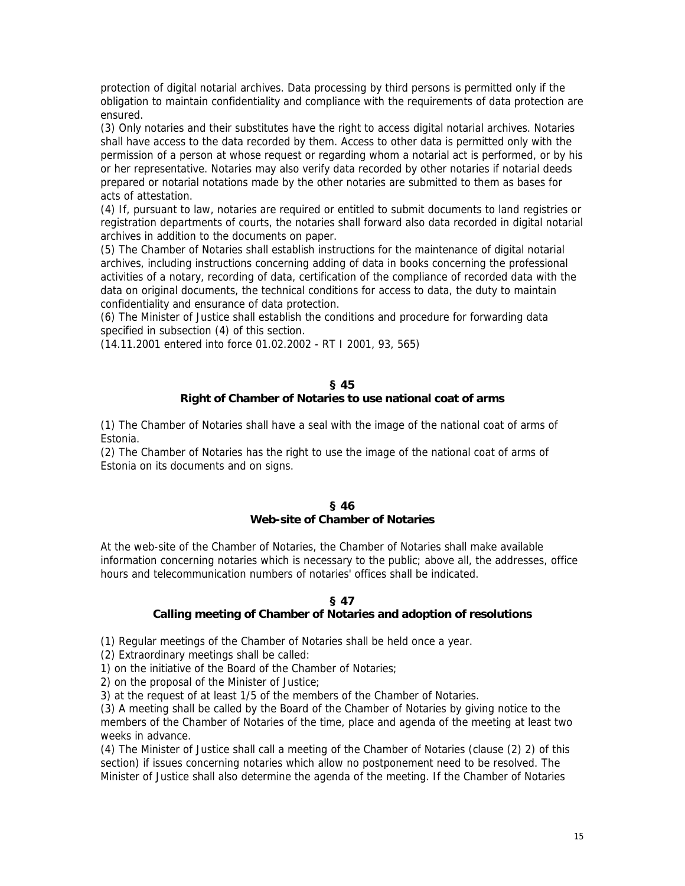protection of digital notarial archives. Data processing by third persons is permitted only if the obligation to maintain confidentiality and compliance with the requirements of data protection are ensured.

(3) Only notaries and their substitutes have the right to access digital notarial archives. Notaries shall have access to the data recorded by them. Access to other data is permitted only with the permission of a person at whose request or regarding whom a notarial act is performed, or by his or her representative. Notaries may also verify data recorded by other notaries if notarial deeds prepared or notarial notations made by the other notaries are submitted to them as bases for acts of attestation.

(4) If, pursuant to law, notaries are required or entitled to submit documents to land registries or registration departments of courts, the notaries shall forward also data recorded in digital notarial archives in addition to the documents on paper.

(5) The Chamber of Notaries shall establish instructions for the maintenance of digital notarial archives, including instructions concerning adding of data in books concerning the professional activities of a notary, recording of data, certification of the compliance of recorded data with the data on original documents, the technical conditions for access to data, the duty to maintain confidentiality and ensurance of data protection.

(6) The Minister of Justice shall establish the conditions and procedure for forwarding data specified in subsection (4) of this section.

(14.11.2001 entered into force 01.02.2002 - RT I 2001, 93, 565)

### **§ 45**

# **Right of Chamber of Notaries to use national coat of arms**

(1) The Chamber of Notaries shall have a seal with the image of the national coat of arms of Estonia.

(2) The Chamber of Notaries has the right to use the image of the national coat of arms of Estonia on its documents and on signs.

## **§ 46 Web-site of Chamber of Notaries**

At the web-site of the Chamber of Notaries, the Chamber of Notaries shall make available information concerning notaries which is necessary to the public; above all, the addresses, office hours and telecommunication numbers of notaries' offices shall be indicated.

# **§ 47**

# **Calling meeting of Chamber of Notaries and adoption of resolutions**

(1) Regular meetings of the Chamber of Notaries shall be held once a year.

(2) Extraordinary meetings shall be called:

1) on the initiative of the Board of the Chamber of Notaries;

2) on the proposal of the Minister of Justice;

3) at the request of at least 1/5 of the members of the Chamber of Notaries.

(3) A meeting shall be called by the Board of the Chamber of Notaries by giving notice to the members of the Chamber of Notaries of the time, place and agenda of the meeting at least two weeks in advance.

(4) The Minister of Justice shall call a meeting of the Chamber of Notaries (clause (2) 2) of this section) if issues concerning notaries which allow no postponement need to be resolved. The Minister of Justice shall also determine the agenda of the meeting. If the Chamber of Notaries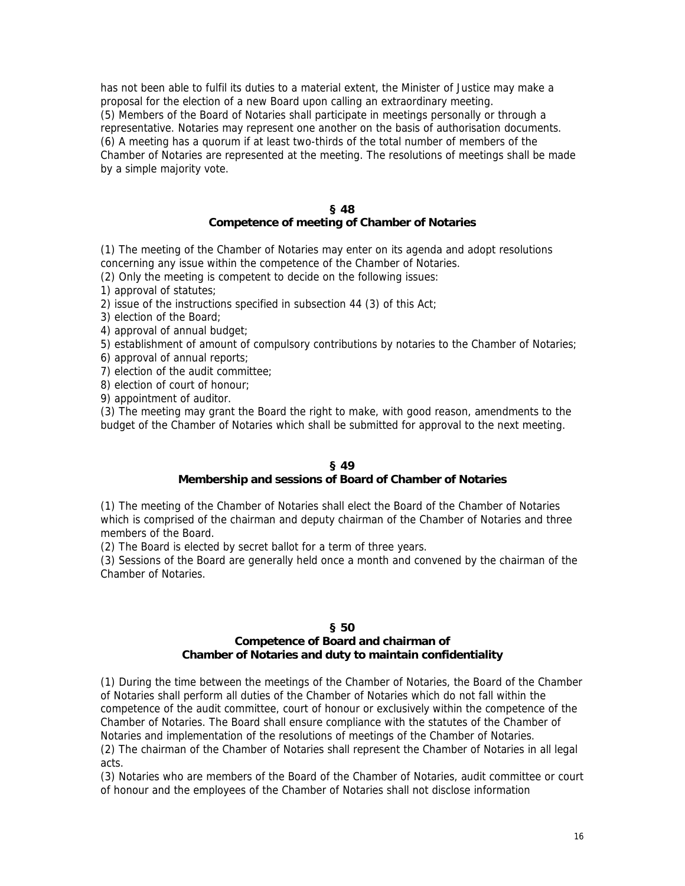has not been able to fulfil its duties to a material extent, the Minister of Justice may make a proposal for the election of a new Board upon calling an extraordinary meeting. (5) Members of the Board of Notaries shall participate in meetings personally or through a representative. Notaries may represent one another on the basis of authorisation documents. (6) A meeting has a quorum if at least two-thirds of the total number of members of the Chamber of Notaries are represented at the meeting. The resolutions of meetings shall be made by a simple majority vote.

#### **§ 48 Competence of meeting of Chamber of Notaries**

(1) The meeting of the Chamber of Notaries may enter on its agenda and adopt resolutions concerning any issue within the competence of the Chamber of Notaries.

(2) Only the meeting is competent to decide on the following issues:

1) approval of statutes;

2) issue of the instructions specified in subsection 44 (3) of this Act;

3) election of the Board;

4) approval of annual budget;

5) establishment of amount of compulsory contributions by notaries to the Chamber of Notaries;

- 6) approval of annual reports;
- 7) election of the audit committee;

8) election of court of honour;

9) appointment of auditor.

(3) The meeting may grant the Board the right to make, with good reason, amendments to the budget of the Chamber of Notaries which shall be submitted for approval to the next meeting.

### **§ 49**

# **Membership and sessions of Board of Chamber of Notaries**

(1) The meeting of the Chamber of Notaries shall elect the Board of the Chamber of Notaries which is comprised of the chairman and deputy chairman of the Chamber of Notaries and three members of the Board.

(2) The Board is elected by secret ballot for a term of three years.

(3) Sessions of the Board are generally held once a month and convened by the chairman of the Chamber of Notaries.

## **§ 50**

# **Competence of Board and chairman of Chamber of Notaries and duty to maintain confidentiality**

(1) During the time between the meetings of the Chamber of Notaries, the Board of the Chamber of Notaries shall perform all duties of the Chamber of Notaries which do not fall within the competence of the audit committee, court of honour or exclusively within the competence of the Chamber of Notaries. The Board shall ensure compliance with the statutes of the Chamber of Notaries and implementation of the resolutions of meetings of the Chamber of Notaries. (2) The chairman of the Chamber of Notaries shall represent the Chamber of Notaries in all legal acts.

(3) Notaries who are members of the Board of the Chamber of Notaries, audit committee or court of honour and the employees of the Chamber of Notaries shall not disclose information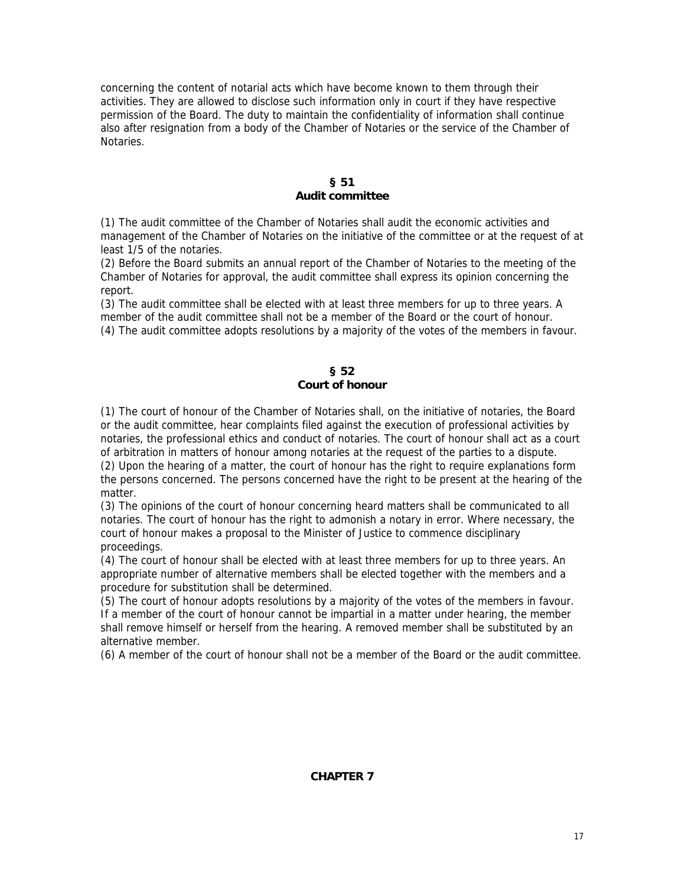concerning the content of notarial acts which have become known to them through their activities. They are allowed to disclose such information only in court if they have respective permission of the Board. The duty to maintain the confidentiality of information shall continue also after resignation from a body of the Chamber of Notaries or the service of the Chamber of Notaries.

### **§ 51 Audit committee**

(1) The audit committee of the Chamber of Notaries shall audit the economic activities and management of the Chamber of Notaries on the initiative of the committee or at the request of at least 1/5 of the notaries.

(2) Before the Board submits an annual report of the Chamber of Notaries to the meeting of the Chamber of Notaries for approval, the audit committee shall express its opinion concerning the report.

(3) The audit committee shall be elected with at least three members for up to three years. A member of the audit committee shall not be a member of the Board or the court of honour. (4) The audit committee adopts resolutions by a majority of the votes of the members in favour.

# **§ 52 Court of honour**

(1) The court of honour of the Chamber of Notaries shall, on the initiative of notaries, the Board or the audit committee, hear complaints filed against the execution of professional activities by notaries, the professional ethics and conduct of notaries. The court of honour shall act as a court of arbitration in matters of honour among notaries at the request of the parties to a dispute. (2) Upon the hearing of a matter, the court of honour has the right to require explanations form the persons concerned. The persons concerned have the right to be present at the hearing of the matter.

(3) The opinions of the court of honour concerning heard matters shall be communicated to all notaries. The court of honour has the right to admonish a notary in error. Where necessary, the court of honour makes a proposal to the Minister of Justice to commence disciplinary proceedings.

(4) The court of honour shall be elected with at least three members for up to three years. An appropriate number of alternative members shall be elected together with the members and a procedure for substitution shall be determined.

(5) The court of honour adopts resolutions by a majority of the votes of the members in favour. If a member of the court of honour cannot be impartial in a matter under hearing, the member shall remove himself or herself from the hearing. A removed member shall be substituted by an alternative member.

(6) A member of the court of honour shall not be a member of the Board or the audit committee.

### **CHAPTER 7**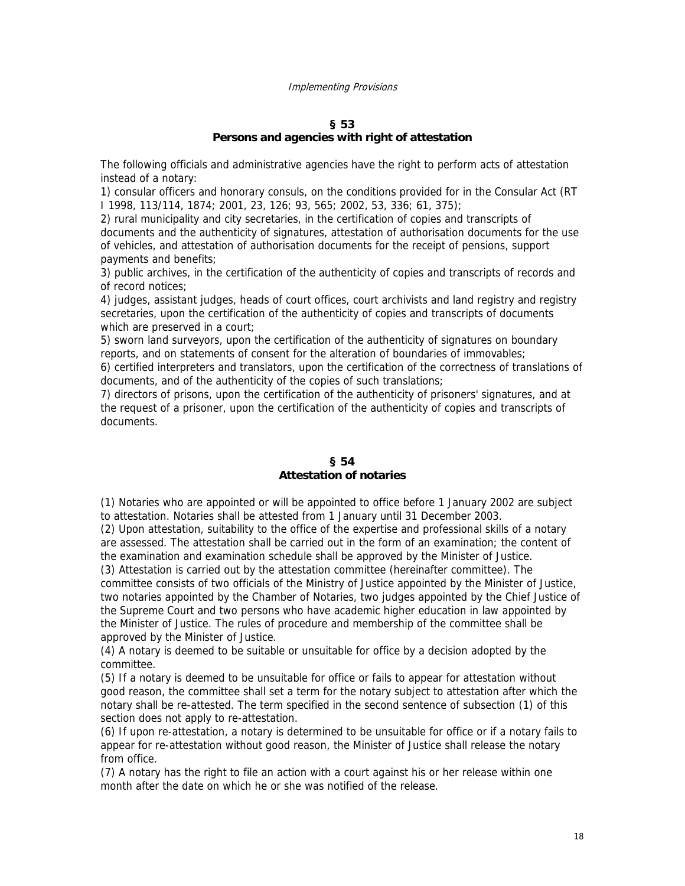#### Implementing Provisions

#### **§ 53**

#### **Persons and agencies with right of attestation**

The following officials and administrative agencies have the right to perform acts of attestation instead of a notary:

1) consular officers and honorary consuls, on the conditions provided for in the Consular Act (RT I 1998, 113/114, 1874; 2001, 23, 126; 93, 565; 2002, 53, 336; 61, 375);

2) rural municipality and city secretaries, in the certification of copies and transcripts of documents and the authenticity of signatures, attestation of authorisation documents for the use of vehicles, and attestation of authorisation documents for the receipt of pensions, support payments and benefits;

3) public archives, in the certification of the authenticity of copies and transcripts of records and of record notices;

4) judges, assistant judges, heads of court offices, court archivists and land registry and registry secretaries, upon the certification of the authenticity of copies and transcripts of documents which are preserved in a court;

5) sworn land surveyors, upon the certification of the authenticity of signatures on boundary reports, and on statements of consent for the alteration of boundaries of immovables;

6) certified interpreters and translators, upon the certification of the correctness of translations of documents, and of the authenticity of the copies of such translations;

7) directors of prisons, upon the certification of the authenticity of prisoners' signatures, and at the request of a prisoner, upon the certification of the authenticity of copies and transcripts of documents.

## **§ 54 Attestation of notaries**

(1) Notaries who are appointed or will be appointed to office before 1 January 2002 are subject to attestation. Notaries shall be attested from 1 January until 31 December 2003.

(2) Upon attestation, suitability to the office of the expertise and professional skills of a notary are assessed. The attestation shall be carried out in the form of an examination; the content of the examination and examination schedule shall be approved by the Minister of Justice. (3) Attestation is carried out by the attestation committee (hereinafter committee). The

committee consists of two officials of the Ministry of Justice appointed by the Minister of Justice, two notaries appointed by the Chamber of Notaries, two judges appointed by the Chief Justice of the Supreme Court and two persons who have academic higher education in law appointed by the Minister of Justice. The rules of procedure and membership of the committee shall be approved by the Minister of Justice.

(4) A notary is deemed to be suitable or unsuitable for office by a decision adopted by the committee.

(5) If a notary is deemed to be unsuitable for office or fails to appear for attestation without good reason, the committee shall set a term for the notary subject to attestation after which the notary shall be re-attested. The term specified in the second sentence of subsection (1) of this section does not apply to re-attestation.

(6) If upon re-attestation, a notary is determined to be unsuitable for office or if a notary fails to appear for re-attestation without good reason, the Minister of Justice shall release the notary from office.

(7) A notary has the right to file an action with a court against his or her release within one month after the date on which he or she was notified of the release.